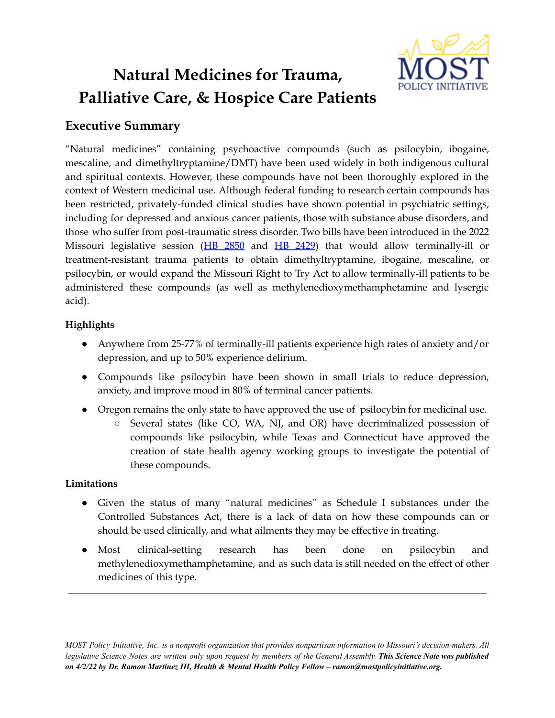

# **Natural Medicines for Trauma, Palliative Care, & Hospice Care Patients**

# **Executive Summary**

"Natural medicines" containing psychoactive compounds (such as psilocybin, ibogaine, mescaline, and dimethyltryptamine/DMT) have been used widely in both indigenous cultural and spiritual contexts. However, these compounds have not been thoroughly explored in the context of Western medicinal use. Although federal funding to research certain compounds has been restricted, privately-funded clinical studies have shown potential in psychiatric settings, including for depressed and anxious cancer patients, those with substance abuse disorders, and those who suffer from post-traumatic stress disorder. Two bills have been introduced in the 2022 Missouri legislative session (HB [2850](https://house.mo.gov/Bill.aspx?bill=HB2850&year=2022&code=R) and HB [2429](https://house.mo.gov/Bill.aspx?bill=HB2429&year=2022&code=R)) that would allow terminally-ill or treatment-resistant trauma patients to obtain dimethyltryptamine, ibogaine, mescaline, or psilocybin, or would expand the Missouri Right to Try Act to allow terminally-ill patients to be administered these compounds (as well as methylenedioxymethamphetamine and lysergic acid).

# **Highlights**

- Anywhere from 25-77% of terminally-ill patients experience high rates of anxiety and/or depression, and up to 50% experience delirium.
- Compounds like psilocybin have been shown in small trials to reduce depression, anxiety, and improve mood in 80% of terminal cancer patients.
- Oregon remains the only state to have approved the use of psilocybin for medicinal use.
	- Several states (like CO, WA, NJ, and OR) have decriminalized possession of compounds like psilocybin, while Texas and Connecticut have approved the creation of state health agency working groups to investigate the potential of these compounds.

# **Limitations**

- Given the status of many "natural medicines" as Schedule I substances under the Controlled Substances Act, there is a lack of data on how these compounds can or should be used clinically, and what ailments they may be effective in treating.
- Most clinical-setting research has been done on psilocybin and methylenedioxymethamphetamine, and as such data is still needed on the effect of other medicines of this type.

MOST Policy Initiative, Inc. is a nonprofit organization that provides nonpartisan information to Missouri's decision-makers. All legislative Science Notes are written only upon request by members of the General Assembly. This Science Note was published *on 4/2/22 by Dr. Ramon Martinez III, Health & Mental Health Policy Fellow – ramon@mostpolicyinitiative.org.*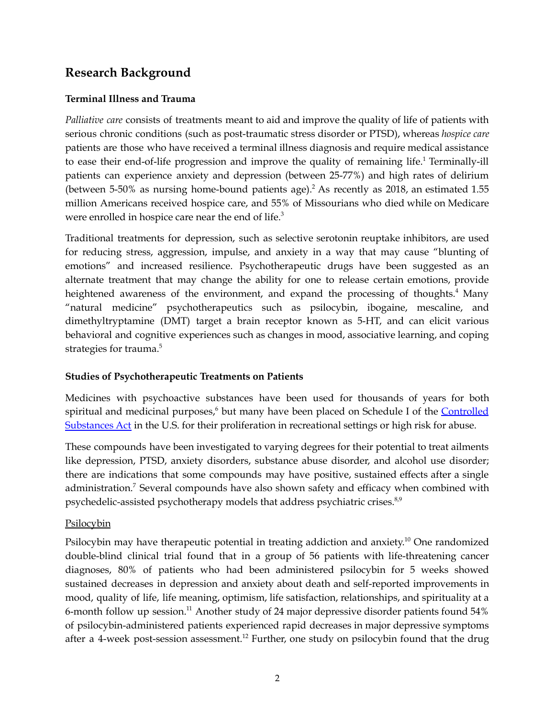# **Research Background**

#### **Terminal Illness and Trauma**

*Palliative care* consists of treatments meant to aid and improve the quality of life of patients with serious chronic conditions (such as post-traumatic stress disorder or PTSD), whereas *hospice care* patients are those who have received a terminal illness diagnosis and require medical assistance to ease their end-of-life progression and improve the quality of remaining life.<sup>1</sup> Terminally-ill patients can experience anxiety and depression (between 25-77%) and high rates of delirium (between 5-50% as nursing home-bound patients age). <sup>2</sup> As recently as 2018, an estimated 1.55 million Americans received hospice care, and 55% of Missourians who died while on Medicare were enrolled in hospice care near the end of life.<sup>3</sup>

Traditional treatments for depression, such as selective serotonin reuptake inhibitors, are used for reducing stress, aggression, impulse, and anxiety in a way that may cause "blunting of emotions" and increased resilience. Psychotherapeutic drugs have been suggested as an alternate treatment that may change the ability for one to release certain emotions, provide heightened awareness of the environment, and expand the processing of thoughts.<sup>4</sup> Many "natural medicine" psychotherapeutics such as psilocybin, ibogaine, mescaline, and dimethyltryptamine (DMT) target a brain receptor known as 5-HT, and can elicit various behavioral and cognitive experiences such as changes in mood, associative learning, and coping strategies for trauma. 5

# **Studies of Psychotherapeutic Treatments on Patients**

Medicines with psychoactive substances have been used for thousands of years for both spiritual and medicinal purposes,<sup>6</sup> but many have been placed on Schedule I of the [Controlled](https://www.dea.gov/drug-information/csa) [Substances](https://www.dea.gov/drug-information/csa) Act in the U.S. for their proliferation in recreational settings or high risk for abuse.

These compounds have been investigated to varying degrees for their potential to treat ailments like depression, PTSD, anxiety disorders, substance abuse disorder, and alcohol use disorder; there are indications that some compounds may have positive, sustained effects after a single administration.<sup>7</sup> Several compounds have also shown safety and efficacy when combined with psychedelic-assisted psychotherapy models that address psychiatric crises.<sup>8,9</sup>

# **Psilocybin**

Psilocybin may have therapeutic potential in treating addiction and anxiety.<sup>10</sup> One randomized double-blind clinical trial found that in a group of 56 patients with life-threatening cancer diagnoses, 80% of patients who had been administered psilocybin for 5 weeks showed sustained decreases in depression and anxiety about death and self-reported improvements in mood, quality of life, life meaning, optimism, life satisfaction, relationships, and spirituality at a 6-month follow up session. <sup>11</sup> Another study of 24 major depressive disorder patients found 54% of psilocybin-administered patients experienced rapid decreases in major depressive symptoms after a 4-week post-session assessment.<sup>12</sup> Further, one study on psilocybin found that the drug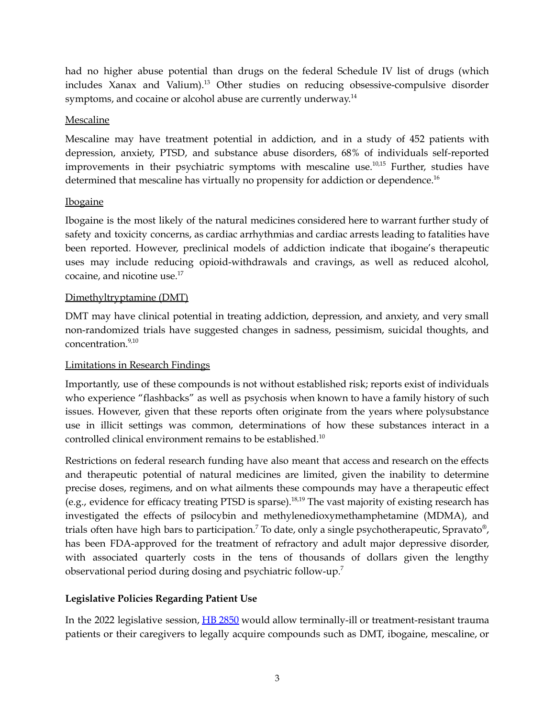had no higher abuse potential than drugs on the federal Schedule IV list of drugs (which includes Xanax and Valium). <sup>13</sup> Other studies on reducing obsessive-compulsive disorder symptoms, and cocaine or alcohol abuse are currently underway.<sup>14</sup>

#### Mescaline

Mescaline may have treatment potential in addiction, and in a study of 452 patients with depression, anxiety, PTSD, and substance abuse disorders, 68% of individuals self-reported improvements in their psychiatric symptoms with mescaline use.<sup>10,15</sup> Further, studies have determined that mescaline has virtually no propensity for addiction or dependence.<sup>16</sup>

#### Ibogaine

Ibogaine is the most likely of the natural medicines considered here to warrant further study of safety and toxicity concerns, as cardiac arrhythmias and cardiac arrests leading to fatalities have been reported. However, preclinical models of addiction indicate that ibogaine's therapeutic uses may include reducing opioid-withdrawals and cravings, as well as reduced alcohol, cocaine, and nicotine use. 17

#### Dimethyltryptamine (DMT)

DMT may have clinical potential in treating addiction, depression, and anxiety, and very small non-randomized trials have suggested changes in sadness, pessimism, suicidal thoughts, and concentration. 9,10

#### Limitations in Research Findings

Importantly, use of these compounds is not without established risk; reports exist of individuals who experience "flashbacks" as well as psychosis when known to have a family history of such issues. However, given that these reports often originate from the years where polysubstance use in illicit settings was common, determinations of how these substances interact in a controlled clinical environment remains to be established. 10

Restrictions on federal research funding have also meant that access and research on the effects and therapeutic potential of natural medicines are limited, given the inability to determine precise doses, regimens, and on what ailments these compounds may have a therapeutic effect (e.g., evidence for efficacy treating PTSD is sparse). 18,19 The vast majority of existing research has investigated the effects of psilocybin and methylenedioxymethamphetamine (MDMA), and trials often have high bars to participation.<sup>7</sup> To date, only a single psychotherapeutic, Spravato<sup>®</sup>, has been FDA-approved for the treatment of refractory and adult major depressive disorder, with associated quarterly costs in the tens of thousands of dollars given the lengthy observational period during dosing and psychiatric follow-up.<sup>7</sup>

# **Legislative Policies Regarding Patient Use**

In the 2022 legislative session, HB [2850](https://house.mo.gov/Bill.aspx?bill=HB2850&year=2022&code=R) would allow terminally-ill or treatment-resistant trauma patients or their caregivers to legally acquire compounds such as DMT, ibogaine, mescaline, or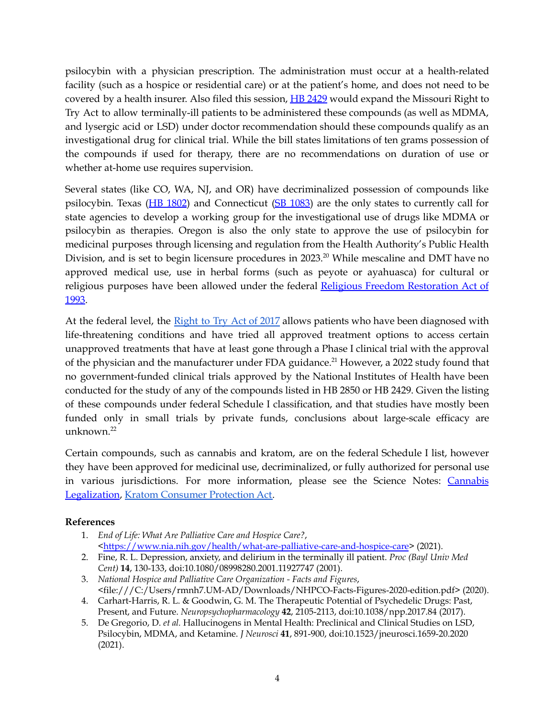psilocybin with a physician prescription. The administration must occur at a health-related facility (such as a hospice or residential care) or at the patient's home, and does not need to be covered by a health insurer. Also filed this session, **HB [2429](https://house.mo.gov/Bill.aspx?bill=HB2429&year=2022&code=R)** would expand the Missouri Right to Try Act to allow terminally-ill patients to be administered these compounds (as well as MDMA, and lysergic acid or LSD) under doctor recommendation should these compounds qualify as an investigational drug for clinical trial. While the bill states limitations of ten grams possession of the compounds if used for therapy, there are no recommendations on duration of use or whether at-home use requires supervision.

Several states (like CO, WA, NJ, and OR) have decriminalized possession of compounds like psilocybin. Texas (HB [1802](https://capitol.texas.gov/tlodocs/87R/billtext/html/HB01802I.htm)) and Connecticut (SB [1083](https://www.cga.ct.gov/2021/act/Pa/pdf/2021PA-00026-R00SB-01083-PA.PDF)) are the only states to currently call for state agencies to develop a working group for the investigational use of drugs like MDMA or psilocybin as therapies. Oregon is also the only state to approve the use of psilocybin for medicinal purposes through licensing and regulation from the Health Authority's Public Health Division, and is set to begin licensure procedures in 2023. <sup>20</sup> While mescaline and DMT have no approved medical use, use in herbal forms (such as peyote or ayahuasca) for cultural or religious purposes have been allowed under the federal Religious Freedom [Restoration](https://www.congress.gov/bill/103rd-congress/house-bill/1308/text) Act of [1993.](https://www.congress.gov/bill/103rd-congress/house-bill/1308/text)

At the federal level, the [Right](https://www.congress.gov/bill/115th-congress/senate-bill/204/text) to Try Act of 2017 allows patients who have been diagnosed with life-threatening conditions and have tried all approved treatment options to access certain unapproved treatments that have at least gone through a Phase I clinical trial with the approval of the physician and the manufacturer under FDA guidance.<sup>21</sup> However, a 2022 study found that no government-funded clinical trials approved by the National Institutes of Health have been conducted for the study of any of the compounds listed in HB 2850 or HB 2429. Given the listing of these compounds under federal Schedule I classification, and that studies have mostly been funded only in small trials by private funds, conclusions about large-scale efficacy are unknown. 22

Certain compounds, such as cannabis and kratom, are on the federal Schedule I list, however they have been approved for medicinal use, decriminalized, or fully authorized for personal use in various jurisdictions. For more information, please see the Science Notes: [Cannabis](https://mostpolicyinitiative.org/science-note/cannabis-legalization/) [Legalization](https://mostpolicyinitiative.org/science-note/cannabis-legalization/), Kratom [Consumer](https://mostpolicyinitiative.org/science-note/kratom-consumer-protection-act/) Protection Act.

#### **References**

- 1. *End of Life: What Are Palliative Care and Hospice Care?*, [<https://www.nia.nih.gov/health/what-are-palliative-care-and-hospice-care](https://www.nia.nih.gov/health/what-are-palliative-care-and-hospice-care)> (2021).
- 2. Fine, R. L. Depression, anxiety, and delirium in the terminally ill patient. *Proc (Bayl Univ Med Cent)* **14**, 130-133, doi:10.1080/08998280.2001.11927747 (2001).
- 3. *National Hospice and Palliative Care Organization - Facts and Figures*, <file:///C:/Users/rmnh7.UM-AD/Downloads/NHPCO-Facts-Figures-2020-edition.pdf> (2020).
- 4. Carhart-Harris, R. L. & Goodwin, G. M. The Therapeutic Potential of Psychedelic Drugs: Past, Present, and Future. *Neuropsychopharmacology* **42**, 2105-2113, doi:10.1038/npp.2017.84 (2017).
- 5. De Gregorio, D. *et al.* Hallucinogens in Mental Health: Preclinical and Clinical Studies on LSD, Psilocybin, MDMA, and Ketamine. *J Neurosci* **41**, 891-900, doi:10.1523/jneurosci.1659-20.2020 (2021).